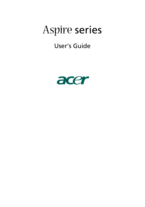# Aspire series

User's Guide

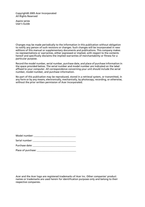Copyright© 2005 Acer Incorporated All Rights Reserved

Aspire series User's Guide

Changes may be made periodically to the information in this publication without obligation to notify any person of such revisions or changes. Such changes will be incorporated in new editions of this manual or supplementary documents and publications. This company makes no representations or warranties, either expressed or implied, with respect to the contents hereof and specifically disclaims the implied warranties of merchantability or fitness for a particular purpose.

Record the model number, serial number, purchase date, and place of purchase information in the space provided below. The serial number and model number are indicated on the label affixed to your computer. All correspondence concerning your unit should include the serial number, model number, and purchase information.

No part of this publication may be reproduced, stored in a retrieval system, or transmitted, in any form or by any means, electronically, mechanically, by photocopy, recording, or otherwise, without the prior written permission of Acer Incorporated.

| Model number: |  |
|---------------|--|
|---------------|--|

| Serial number: |  |
|----------------|--|
|                |  |

| Purchase date: |  |
|----------------|--|
|                |  |

|  | Place of purchase:                                                                                              |  |
|--|-----------------------------------------------------------------------------------------------------------------|--|
|  | the contract of the contract of the contract of the contract of the contract of the contract of the contract of |  |
|  |                                                                                                                 |  |

Acer and the Acer logo are registered trademarks of Acer Inc. Other companies' product names or trademarks are used herein for identification purposes only and belong to their respective companies.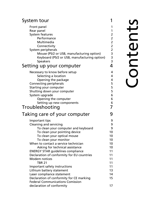### [System tour 1](#page-4-0)

| Front panel<br>Rear panel<br>System features<br>Performance<br>Multimedia<br>Connectivity<br>System peripherals<br>Mouse (PS/2 or USB, manufacturing option)<br>Keyboard (PS/2 or USB, manufacturing option)<br><b>Speakers</b><br>Setting up your computer                                                                                                                                                                                                                                                             | 1<br>$\mathbf{1}$<br>$\overline{c}$<br>$\overline{a}$<br>$\frac{2}{2}$<br>$\overline{c}$<br>$\frac{3}{3}$<br>$\overline{3}$<br>4 |
|-------------------------------------------------------------------------------------------------------------------------------------------------------------------------------------------------------------------------------------------------------------------------------------------------------------------------------------------------------------------------------------------------------------------------------------------------------------------------------------------------------------------------|----------------------------------------------------------------------------------------------------------------------------------|
| Necessary to know before setup<br>Selecting a location<br>Opening the package<br>Connecting peripherals<br>Starting your computer<br>Shutting down your computer<br>System upgrade<br>Opening the computer<br>Setting up new components<br>Troubleshooting                                                                                                                                                                                                                                                              | 4<br>4<br>4<br>5<br>5<br>5<br>6<br>6<br>6<br>7                                                                                   |
| Taking care of your computer                                                                                                                                                                                                                                                                                                                                                                                                                                                                                            | 9                                                                                                                                |
| Important tips<br>Cleaning and servicing<br>To clean your computer and keyboard<br>To clean your pointing device<br>To clean your optical mouse<br>To clean your monitor<br>When to contact a service technician<br>Asking for technical assistance<br><b>ENERGY STAR guidelines compliance</b><br>Declaration of conformity for EU countries<br>Modem notices<br><b>TBR 21</b><br>Important safety instructions<br>Lithium battery statement<br>Laser compliance statement<br>Declaration of conformity for CE marking | 9<br>9<br>9<br>10<br>10<br>10<br>10<br>10<br>11<br>11<br>11<br>11<br>11<br>13<br>14<br>15                                        |
| <b>Federal Communications Comission</b><br>declaration of conformity                                                                                                                                                                                                                                                                                                                                                                                                                                                    | 17                                                                                                                               |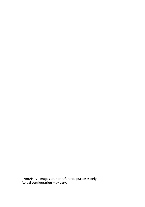**Remark:** All images are for reference purposes only. Actual configuration may vary.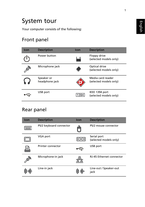# <span id="page-4-0"></span>System tour

Your computer consists of the following:

### <span id="page-4-1"></span>Front panel

| Icon           | <b>Description</b>           | Icon | <b>Description</b>                          |
|----------------|------------------------------|------|---------------------------------------------|
|                | Power button                 |      | Floppy drive<br>(selected models only)      |
| $\mathfrak{G}$ | Microphone jack              |      | Optical drive<br>(selected models only)     |
|                | Speaker or<br>headphone jack |      | Media card reader<br>(selected models only) |
|                | USB port                     |      | IEEE 1394 port<br>(selected models only)    |

### <span id="page-4-2"></span>Rear panel

| Icon      | <b>Description</b>      | <b>Icon</b> | <b>Description</b>                    |
|-----------|-------------------------|-------------|---------------------------------------|
| ,,,,,,,   | PS/2 keyboard connector |             | PS/2 mouse connector                  |
|           | VGA port                |             | Serial port<br>(selected models only) |
|           | Printer connector       |             | USB port                              |
| <b>BR</b> | Microphone-in jack      |             | RJ-45 Ethernet connector              |
|           | Line-in jack            |             | Line-out / Speaker-out<br>jack        |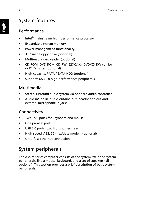### <span id="page-5-0"></span>System features

#### <span id="page-5-1"></span>Performance

- Intel® mainstream high-performance processor
- Expandable system memory
- Power management functionality
- 3.5" inch floppy drive (optional)
- Multimedia card reader (optional)
- CD-ROM, DVD-ROM, CD-RW (52X/24X), DVD/CD-RW combo or DVD writer (optional)
- High-capacity, PATA / SATA HDD (optional)
- Supports USB 2.0 high-performance peripherals

### <span id="page-5-2"></span>Multimedia

- Stereo-surround audio system via onboard audio controller
- Audio-in/line-in, audio-out/line-out, headphone-out and external microphone-in jacks

### <span id="page-5-3"></span>**Connectivity**

- Two PS/2 ports for keyboard and mouse
- One parallel port
- USB 2.0 ports (two front, others rear)
- High-speed V.92, 56K fax/data modem (optional)
- Ultra-fast Ethernet connection

### <span id="page-5-4"></span>System peripherals

The Aspire series computer consists of the system itself and system peripherals, like a mouse, keyboard, and a set of speakers (all optional). This section provides a brief description of basic system peripherals.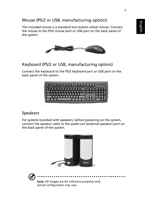### <span id="page-6-0"></span>Mouse (PS/2 or USB, manufacturing option)

The included mouse is a standard two-button wheel mouse. Connect the mouse to the PS/2 mouse port or USB port on the back panel of the system.



#### <span id="page-6-1"></span>Keyboard (PS/2 or USB, manufacturing option)

Connect the keyboard to the PS/2 keyboard port or USB port on the back panel of the system.



#### <span id="page-6-2"></span>Speakers

For systems bundled with speakers, before powering on the system, connect the speaker cable to the audio-out (external speaker) port on the back panel of the system.





Note: All images are for reference purposes only. Actual configuration may vary.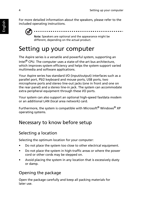For more detailed information about the speakers, please refer to the included operating instructions.



different, depending on the actual product.

## <span id="page-7-0"></span>Setting up your computer

The Aspire series is a versatile and powerful system, supporting an Intel® CPU. The computer uses a state-of-the-art bus architecture, which improves system efficiency and helps the system support varied multimedia and software applications.

Your Aspire series has standard I/O (input/output) interfaces such as a parallel port, PS/2 keyboard and mouse ports, USB ports, two microphone ports and stereo line-out jacks (one in front and one on the rear panel) and a stereo line-in jack. The system can accommodate extra peripheral equipment through these I/O ports.

Your system can also support an optional high-speed fax/data modem or an additional LAN (local area network) card.

Furthermore, the system is compatible with Microsoft® Windows® XP operating systems.

### <span id="page-7-1"></span>Necessary to know before setup

### <span id="page-7-2"></span>Selecting a location

Selecting the optimum location for your computer:

- Do not place the system too close to other electrical equipment.
- Do not place the system in high-traffic areas or where the power cord or other cords may be stepped on.
- Avoid placing the system in any location that is excessively dusty or damp.

### <span id="page-7-3"></span>Opening the package

Open the package carefully and keep all packing materials for later use.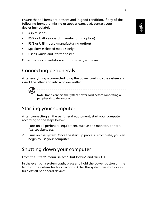Ensure that all items are present and in good condition. If any of the following items are missing or appear damaged, contact your dealer immediately:

- Aspire series
- PS/2 or USB keyboard (manufacturing option)
- PS/2 or USB mouse (manufacturing option)
- Speakers (selected models only)
- User's Guide and Starter poster

Other user documentation and third-party software.

### <span id="page-8-0"></span>Connecting peripherals

After everything is connected, plug the power cord into the system and insert the other end into a power outlet.



### <span id="page-8-1"></span>Starting your computer

After connecting all the peripheral equipment, start your computer according to the steps below:

- 1 Turn on all peripheral equipment, such as the monitor, printer, fax, speakers, etc.
- 2 Turn on the system. Once the start up process is complete, you can begin to use your computer.

### <span id="page-8-2"></span>Shutting down your computer

From the "Start" menu, select "Shut Down" and click OK.

In the event of a system crash, press and hold the power button on the front of the system for four seconds. After the system has shut down, turn off all peripheral devices.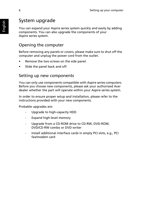### <span id="page-9-0"></span>System upgrade

You can expand your Aspire series system quickly and easily by adding components. You can also upgrade the components of your Aspire series system.

### <span id="page-9-1"></span>Opening the computer

Before removing any panels or covers, please make sure to shut off the computer and unplug the power cord from the outlet.

- Remove the two screws on the side panel.
- Slide the panel back and off.

### <span id="page-9-2"></span>Setting up new components

You can only use components compatible with Aspire series computers. Before you choose new components, please ask your authorized Acer dealer whether the part will operate within your Aspire series system.

In order to ensure proper setup and installation, please refer to the instructions provided with your new components.

Probable upgrades are:

- Upgrade to high-capacity HDD
- Expand high-level memory
- Upgrade from a CD-ROM drive to CD-RW, DVD-ROM, DVD/CD-RW combo or DVD writer
- Install additional interface cards in empty PCI slots, e.g., PCI fax/modem card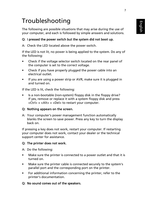# <span id="page-10-0"></span>Troubleshooting

The following are possible situations that may arise during the use of your computer, and each is followed by simple answers and solutions.

#### Q: I pressed the power switch but the system did not boot up.

A: Check the LED located above the power switch.

If the LED is not lit, no power is being applied to the system. Do any of the following:

- Check if the voltage selector switch located on the rear panel of the computer is set to the correct voltage.
- Check if you have properly plugged the power cable into an electrical outlet.
- If you are using a power strip or AVR, make sure it is plugged in and turned on.

If the LED is lit, check the following:

• Is a non-bootable (non-system) floppy disk in the floppy drive? If yes, remove or replace it with a system floppy disk and press <Ctrl> + <Alt> + <Del> to restart your computer.

#### Q: Nothing appears on the screen.

A: Your computer's power management function automatically blanks the screen to save power. Press any key to turn the display back on.

If pressing a key does not work, restart your computer. If restarting your computer does not work, contact your dealer or the technical support center for assistance.

#### Q: The printer does not work.

A: Do the following:

- Make sure the printer is connected to a power outlet and that it is turned on.
- Make sure the printer cable is connected securely to the system's parallel port and the corresponding port on the printer.
- For additional information concerning the printer, refer to the printer's documentation.
- Q: No sound comes out of the speakers.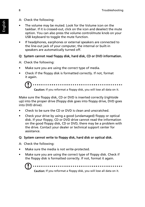- A: Check the following:
- The volume may be muted. Look for the Volume icon on the taskbar. If it is crossed-out, click on the icon and deselect the mute option. You can also press the volume control/mute knob on your USB keyboard to toggle the mute function.
- If headphones, earphones or external speakers are connected to the line-out jack of your computer, the internal or built-in speakers are automatically turned off.

#### Q: System cannot read floppy disk, hard disk, CD or DVD information.

A: Check the following:

- Make sure you are using the correct type of media.
- Check if the floppy disk is formatted correctly. If not, format it again.



Make sure the floppy disk, CD or DVD is inserted correctly (rightside up) into the proper drive (floppy disk goes into floppy drive, DVD goes into DVD drive).

- Check to be sure the CD or DVD is clean and unscratched.
- Check your drive by using a good (undamaged) floppy or optical disk. If your floppy, CD or DVD drive cannot read the information on the good floppy disk, CD or DVD, there may be a problem with the drive. Contact your dealer or technical support center for assistance.

#### Q: System cannot write to floppy disk, hard disk or optical disk.

A: Check the following:

- Make sure the media is not write-protected.
- Make sure you are using the correct type of floppy disk. Check if the floppy disk is formatted correctly. If not, format it again.



.............................

Caution: If you reformat a floppy disk, you will lose all data on it.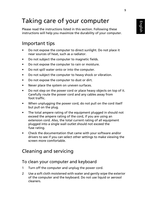# <span id="page-12-0"></span>Taking care of your computer

Please read the instructions listed in this section. Following these instructions will help you maximize the durability of your computer.

### <span id="page-12-1"></span>Important tips

- Do not expose the computer to direct sunlight. Do not place it near sources of heat, such as a radiator.
- Do not subject the computer to magnetic fields.
- Do not expose the computer to rain or moisture.
- Do not spill water onto or into the computer.
- Do not subject the computer to heavy shock or vibration.
- Do not expose the computer to dust or dirt.
- Never place the system on uneven surfaces.
- Do not step on the power cord or place heavy objects on top of it. Carefully route the power cord and any cables away from foot traffic.
- When unplugging the power cord, do not pull on the cord itself but pull on the plug.
- The total ampere rating of the equipment plugged in should not exceed the ampere rating of the cord, if you are using an extension cord. Also, the total current rating of all equipment plugged into a single wall outlet should not exceed the fuse rating.
- Check the documentation that came with your software and/or drivers to see if you can select other settings to make viewing the screen more comfortable.

### <span id="page-12-2"></span>Cleaning and servicing

#### <span id="page-12-3"></span>To clean your computer and keyboard

- 1 Turn off the computer and unplug the power cord.
- 2 Use a soft cloth moistened with water and gently wipe the exterior of the computer and the keyboard. Do not use liquid or aerosol cleaners.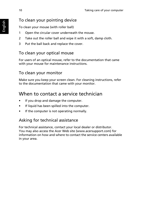#### <span id="page-13-0"></span>To clean your pointing device

To clean your mouse (with roller ball)

- 1 Open the circular cover underneath the mouse.
- 2 Take out the roller ball and wipe it with a soft, damp cloth.
- 3 Put the ball back and replace the cover.

#### <span id="page-13-1"></span>To clean your optical mouse

For users of an optical mouse, refer to the documentation that came with your mouse for maintenance instructions.

#### <span id="page-13-2"></span>To clean your monitor

Make sure you keep your screen clean. For cleaning instructions, refer to the documentation that came with your monitor.

### <span id="page-13-3"></span>When to contact a service technician

- If you drop and damage the computer.
- If liquid has been spilled into the computer.
- If the computer is not operating normally.

#### <span id="page-13-4"></span>Asking for technical assistance

For technical assistance, contact your local dealer or distributor. You may also access the Acer Web site (www.acersupport.com) for information on how and where to contact the service centers available in your area.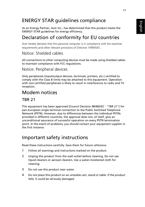### <span id="page-14-0"></span>ENERGY STAR guidelines compliance

As an Energy Partner, Acer Inc., has determined that this product meets the ENERGY STAR guidelines for energy efficiency.

### <span id="page-14-1"></span>Declaration of conformity for EU countries

Acer hereby declares that this personal computer is in compliance with the essential requirements and other relevant provisions of Directive 1999/5/EC.

#### Notice: Shielded cables

All connections to other computing devices must be made using shielded cables to maintain compliance with FCC regulations.

#### Notice: Peripheral devices

Only peripherals (input/output devices, terminals, printers, etc.) certified to comply with the Class B limits may be attached to this equipment. Operation with non-certified peripherals is likely to result in interference to radio and TV reception.

### <span id="page-14-2"></span>Modem notices

#### <span id="page-14-3"></span>TBR 21

This equipment has been approved [Council Decision 98/482/EC - "TBR 21"] for pan-European single terminal connection to the Public Switched Telephone Network (PSTN). However, due to differences between the individual PSTNs provided in different countries, the approval does not, of itself, give an unconditional assurance of successful operation on every PSTN termination point. In the event of problems, you should contact your equipment supplier in the first instance.

### <span id="page-14-4"></span>Important safety instructions

Read these instructions carefully. Save them for future reference.

- 1 Follow all warnings and instructions marked on the product.
- 2 Unplug this product from the wall outlet before cleaning. Do not use liquid cleaners or aerosol cleaners. Use a water-moistened cloth for cleaning.
- 3 Do not use this product near water.
- 4 Do not place this product on an unstable cart, stand or table. If the product falls, it could be seriously damaged.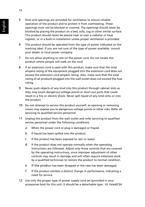- 5 Slots and openings are provided for ventilation to ensure reliable operation of the product and to protect it from overheating. These openings must not be blocked or covered. The openings should never be blocked by placing the product on a bed, sofa, rug or other similar surface. This product should never be placed near or over a radiator or heat register, or in a built-in installation unless proper ventilation is provided.
- 6 This product should be operated from the type of power indicated on the marking label. If you are not sure of the type of power available, consult your dealer or local power company.
- 7 Do not allow anything to rest on the power cord. Do not locate this product where people will walk on the cord.
- 8 If an extension cord is used with this product, make sure that the total ampere rating of the equipment plugged into the extension cord does not exceed the extension cord ampere rating. Also, make sure that the total rating of all products plugged into the wall outlet does not exceed the fuse rating.
- 9 Never push objects of any kind into this product through cabinet slots as they may touch dangerous voltage points or short-out parts that could result in a fire or electric shock. Never spill liquid of any kind onto or into the product.
- 10 Do not attempt to service this product yourself, as opening or removing covers may expose you to dangerous voltage points or other risks. Refer all servicing to qualified service personnel.
- 11 Unplug this product from the wall outlet and refer servicing to qualified service personnel under the following conditions:
	- a When the power cord or plug is damaged or frayed.
	- b If liquid has been spilled into the product.
	- c If the product has been exposed to rain or water.
	- d If the product does not operate normally when the operating instructions are followed. Adjust only those controls that are covered by the operating instructions, since improper adjustment of other controls may result in damage and will often require extensive work by a qualified technician to restore the product to normal condition.
	- e If the product has been dropped or the case has been damaged.
	- f If the product exhibits a distinct change in performance, indicating a need for service.
- 12 Use only the proper type of power supply cord set (provided in your accessories box) for this unit. It should be a detachable type : UL listed/CSA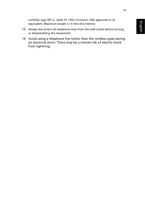certified, type SPT-2, rated 7A 125V minimum, VDE approved or its equivalent. Maximum length is 15 feet (4.6 meters).

- 13 Always disconnect all telephone lines from the wall outlet before serving or disassembling this equipment.
- 14 Avoid using a telephone line (other than the cordless type) during an electrical storm. There may be a remote risk of electric shock from lightning.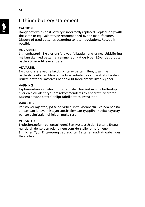#### <span id="page-17-0"></span>**CAUTION**

Danger of explosion if battery is incorrectly replaced. Replace only with the same or equivalent type recommended by the manufacturer. Dispose of used batteries according to local regulations. Recycle if possible.

#### ADVARSEL!

Lithiumbatteri - Eksplosionsfare ved fejlagtig håndtering. Udskiftning må kun ske med batteri af samme fabrikat og type. Léver det brugte batteri tilbage til leverandøren.

#### ADVARSEL

Eksplosjonsfare ved feilaktig skifte av batteri. Benytt samme batteritype eller en tilsvarende type anbefalt av apparatfabrikanten. Brukte batterier kasseres i henhold til fabrikantens instruksjoner.

#### VARNING

Explosionsfara vid felaktigt batteribyte. Anvãnd samma batterityp eller en ekvivalent typ som rekommenderas av apparattillverkaren. Kassera anvãnt batteri enligt fabrikantens instruktion.

#### **VAROITUS**

Päristo voi räjähtää, jos se on virheellisesti asennettu. Vaihda paristo ainoastaan laitevalmistajan suosittelemaan tyyppiin. Hävitä käytetty paristo valmistajan ohjeiden mukaisesti.

#### VORSICHT!

Explosionsgefahr bei unsachgemäßen Austausch der Batterie Ersatz nur durch denselben oder einem vom Hersteller empfohlenem ähnlichen Typ. Entsorgung gebrauchter Batterien nach Angaben des Herstellers.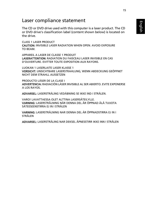### <span id="page-18-0"></span>Laser compliance statement

The CD or DVD drive used with this computer is a laser product. The CD or DVD drive's classification label (content shown below) is located on the drive.

CLASS 1 LASER PRODUCT CAUTION: INVISIBLE LASER RADIATION WHEN OPEN. AVOID EXPOSURE TO BEAM.

APPAREIL A LASER DE CLASSE 1 PRODUIT LASERATTENTION: RADIATION DU FAISCEAU LASER INVISIBLE EN CAS D'OUVERTURE. EVITTER TOUTE EXPOSITION AUX RAYONS.

LUOKAN 1 LASERLAITE LASER KLASSE 1 VORSICHT: UNSICHTBARE LASERSTRAHLUNG, WENN ABDECKUNG GEÖFFNET NICHT DEM STRAHLL AUSSETZEN

PRODUCTO LÁSER DE LA CLASE I ADVERTENCIA: RADIACIÓN LÁSER INVISIBLE AL SER ABIERTO. EVITE EXPONERSE A LOS RAYOS.

ADVARSEL: LASERSTRÅLING VEDÅBNING SE IKKE IND I STRÅLEN.

VARO! LAVATTAESSA OLET ALTTINA LASERSÅTEILYLLE. VARNING: LASERSTRÅLNING NÅR DENNA DEL ÅR ÖPPNAD ÅLÅ TUIJOTA SÅTEESEENSTIRRA EJ IN I STRÅLEN

VARNING: LASERSTRÅLNING NAR DENNA DEL ÅR ÖPPNADSTIRRA EJ IN I STRÅLEN

ADVARSEL: LASERSTRÅLING NAR DEKSEL ÅPNESSTIRR IKKE INN I STRÅLEN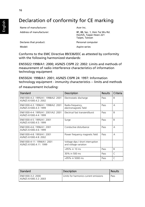### <span id="page-19-0"></span>Declaration of conformity for CE marking

Name of manufacturer: Acer Inc.

Address of manufacturer: 8F, 88, Sec. 1, Hsin Tai Wu Rd. Hsichih, Taipei Hsien 221 Taipei, Taiwan

Declares that product: Personal computer Model: Model: Aspire series

Conforms to the EMC Directive 89/336/EEC as attested by conformity with the following harmonized standards:

EN55022:1998/A1: 2000; AS/NZS CISPR 22: 2002: Limits and methods of measurement of radio interference characteristics of information technology equipment

EN55024: 1998/A1: 2001; AS/NZS CISPR 24: 1997: Information technology equipment - immunity characteristics -- limits and methods

#### of measurement Including:

| Standard                                                      | Description                                                | <b>Results</b> | Criteria     |
|---------------------------------------------------------------|------------------------------------------------------------|----------------|--------------|
| EN61000-4-2: 1995/A1: 1998/A2: 2001<br>AS/N7S 61000.4.2: 2002 | Electrostatic discharge                                    | Pass           | B            |
| FN61000-4-3: 1996/A1: 1998/A2: 2001<br>AS/NZS 61000.4.3: 1999 | Radio-frequency,<br>electromagnetic field                  | Pass           | А            |
| EN61000-4-4: 1995/A1: 2001/A2: 2001<br>AS/N7S 61000.4.4: 1999 | Electrical fast transient/burst                            | Pass           | B            |
| FN61000-4-5: 1995/A1: 2001<br>AS/N7S 61000.4.5: 1999          | Surge                                                      | Pass           | B            |
| FN61000-4-6: 1996/A1: 2001<br>AS/N7S 61000.4.6: 1999          | Conductive disturbance                                     | Pass           | А            |
| EN61000-4-8: 1993/A1: 2001<br>AS/N7S 61000.4.8: 2002          | Power frequency magnetic field                             | Pass           | А            |
| FN61000-4-11: 1994/A1: 2001<br>AS/N7S 61000.4.11: 1999        | Voltage dips / short interruption<br>and voltage variation |                |              |
|                                                               | >95% in 10 ms                                              | Pass           | B            |
|                                                               | 30% in 500 ms                                              | Pass           | $\mathsf{C}$ |
|                                                               | >95% in 5000 ms                                            | Pass           | $\mathsf{C}$ |

| Standard                                    | Description                            | Results |
|---------------------------------------------|----------------------------------------|---------|
| FN61000-3-2: 2000<br>AS/NZS 61000.3.2: 2003 | Limits for harmonics current emissions | Pass    |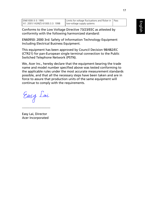Conforms to the Low Voltage Directive 73/23/EEC as attested by conformity with the following harmonized standard:

EN60950: 2000 3rd: Safety of Information Technology Equipment Including Electrical Business Equipment.

This equipment has been approved by Council Decision 98/482/EC (CTR21) for pan-European single terminal connection to the Public Switched Telephone Network (PSTN).

We, Acer Inc., hereby declare that the equipment bearing the trade name and model number specified above was tested conforming to the applicable rules under the most accurate measurement standards possible, and that all the necessary steps have been taken and are in force to assure that production units of the same equipment will continue to comply with the requirements.

Easy Lai

Easy Lai, Director Acer Incorporated

---------------------------